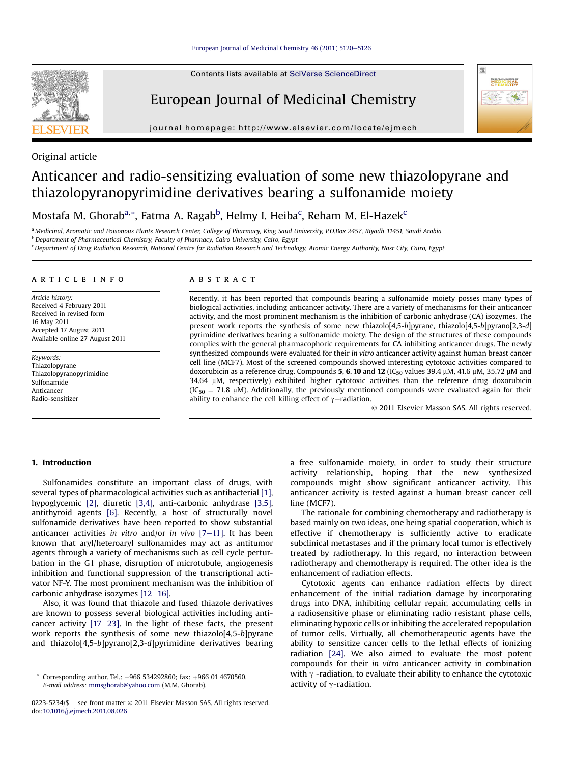

Contents lists available at SciVerse ScienceDirect

# European Journal of Medicinal Chemistry



journal homepage:<http://www.elsevier.com/locate/ejmech>

# Original article

# Anticancer and radio-sensitizing evaluation of some new thiazolopyrane and thiazolopyranopyrimidine derivatives bearing a sulfonamide moiety

Mostafa M. Ghorab<sup>a,</sup>\*, Fatma A. Ragab<sup>b</sup>, Helmy I. Heiba<sup>c</sup>, Reham M. El-Hazek<sup>c</sup>

a Medicinal, Aromatic and Poisonous Plants Research Center, College of Pharmacy, King Saud University, P.O.Box 2457, Riyadh 11451, Saudi Arabia <sup>b</sup> Department of Pharmaceutical Chemistry, Faculty of Pharmacy, Cairo University, Cairo, Egypt

<sup>c</sup> Department of Drug Radiation Research, National Centre for Radiation Research and Technology, Atomic Energy Authority, Nasr City, Cairo, Egypt

#### article info

Article history: Received 4 February 2011 Received in revised form 16 May 2011 Accepted 17 August 2011 Available online 27 August 2011

Keywords: Thiazolopyrane Thiazolopyranopyrimidine Sulfonamide Anticancer Radio-sensitizer

#### **ABSTRACT**

Recently, it has been reported that compounds bearing a sulfonamide moiety posses many types of biological activities, including anticancer activity. There are a variety of mechanisms for their anticancer activity, and the most prominent mechanism is the inhibition of carbonic anhydrase (CA) isozymes. The present work reports the synthesis of some new thiazolo[4,5-b]pyrane, thiazolo[4,5-b]pyrano[2,3-d] pyrimidine derivatives bearing a sulfonamide moiety. The design of the structures of these compounds complies with the general pharmacophoric requirements for CA inhibiting anticancer drugs. The newly synthesized compounds were evaluated for their in vitro anticancer activity against human breast cancer cell line (MCF7). Most of the screened compounds showed interesting cytotoxic activities compared to doxorubicin as a reference drug. Compounds 5, 6, 10 and 12 (IC<sub>50</sub> values 39.4  $\mu$ M, 41.6  $\mu$ M, 35.72  $\mu$ M and 34.64 mM, respectively) exhibited higher cytotoxic activities than the reference drug doxorubicin  $(IC_{50} = 71.8 \mu M)$ . Additionally, the previously mentioned compounds were evaluated again for their ability to enhance the cell killing effect of  $\gamma$ -radiation.

2011 Elsevier Masson SAS. All rights reserved.

# 1. Introduction

Sulfonamides constitute an important class of drugs, with several types of pharmacological activities such as antibacterial [\[1\],](#page-6-0) hypoglycemic [\[2\]](#page-6-0), diuretic [\[3,4\],](#page-6-0) anti-carbonic anhydrase [\[3,5\],](#page-6-0) antithyroid agents [\[6\].](#page-6-0) Recently, a host of structurally novel sulfonamide derivatives have been reported to show substantial anticancer activities in vitro and/or in vivo  $[7-11]$  $[7-11]$  $[7-11]$ . It has been known that aryl/heteroaryl sulfonamides may act as antitumor agents through a variety of mechanisms such as cell cycle perturbation in the G1 phase, disruption of microtubule, angiogenesis inhibition and functional suppression of the transcriptional activator NF-Y. The most prominent mechanism was the inhibition of carbonic anhydrase isozymes  $[12-16]$  $[12-16]$ .

Also, it was found that thiazole and fused thiazole derivatives are known to possess several biological activities including anticancer activity  $[17-23]$  $[17-23]$  $[17-23]$ . In the light of these facts, the present work reports the synthesis of some new thiazolo[4,5-b]pyrane and thiazolo[4,5-b]pyrano[2,3-d]pyrimidine derivatives bearing a free sulfonamide moiety, in order to study their structure activity relationship, hoping that the new synthesized compounds might show significant anticancer activity. This anticancer activity is tested against a human breast cancer cell line (MCF7).

The rationale for combining chemotherapy and radiotherapy is based mainly on two ideas, one being spatial cooperation, which is effective if chemotherapy is sufficiently active to eradicate subclinical metastases and if the primary local tumor is effectively treated by radiotherapy. In this regard, no interaction between radiotherapy and chemotherapy is required. The other idea is the enhancement of radiation effects.

Cytotoxic agents can enhance radiation effects by direct enhancement of the initial radiation damage by incorporating drugs into DNA, inhibiting cellular repair, accumulating cells in a radiosensitive phase or eliminating radio resistant phase cells, eliminating hypoxic cells or inhibiting the accelerated repopulation of tumor cells. Virtually, all chemotherapeutic agents have the ability to sensitize cancer cells to the lethal effects of ionizing radiation [\[24\]](#page-6-0). We also aimed to evaluate the most potent compounds for their in vitro anticancer activity in combination with  $\gamma$  -radiation, to evaluate their ability to enhance the cytotoxic activity of  $\gamma$ -radiation.

Corresponding author. Tel.: +966 534292860; fax: +966 01 4670560. E-mail address: [mmsghorab@yahoo.com](mailto:mmsghorab@yahoo.com) (M.M. Ghorab).

<sup>0223-5234/\$ -</sup> see front matter © 2011 Elsevier Masson SAS. All rights reserved. doi:[10.1016/j.ejmech.2011.08.026](http://dx.doi.org/10.1016/j.ejmech.2011.08.026)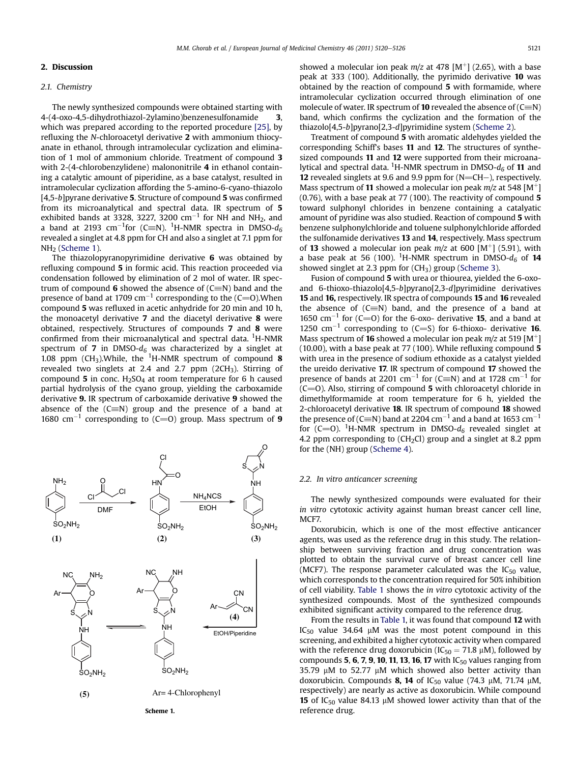#### 2. Discussion

# 2.1. Chemistry

The newly synthesized compounds were obtained starting with 4-(4-oxo-4,5-dihydrothiazol-2ylamino)benzenesulfonamide 3, which was prepared according to the reported procedure [\[25\],](#page-6-0) by refluxing the N-chloroacetyl derivative 2 with ammonium thiocyanate in ethanol, through intramolecular cyclization and elimination of 1 mol of ammonium chloride. Treatment of compound 3 with 2-(4-chlorobenzylidene) malononitrile 4 in ethanol containing a catalytic amount of piperidine, as a base catalyst, resulted in intramolecular cyclization affording the 5-amino-6-cyano-thiazolo [4,5-b]pyrane derivative 5. Structure of compound 5 was confirmed from its microanalytical and spectral data. IR spectrum of 5 exhibited bands at 3328, 3227, 3200  $\rm cm^{-1}$  for NH and NH<sub>2</sub>, and a band at 2193 cm $^{-1}$ for (C $\equiv$ N).  $^1$ H-NMR spectra in DMSO- $d_6$ revealed a singlet at 4.8 ppm for CH and also a singlet at 7.1 ppm for NH2 (Scheme 1).

The thiazolopyranopyrimidine derivative 6 was obtained by refluxing compound 5 in formic acid. This reaction proceeded via condensation followed by elimination of 2 mol of water. IR spectrum of compound 6 showed the absence of  $(C=N)$  band and the presence of band at 1709 cm<sup>-1</sup> corresponding to the (C=O).When compound 5 was refluxed in acetic anhydride for 20 min and 10 h, the monoacetyl derivative 7 and the diacetyl derivative 8 were obtained, respectively. Structures of compounds 7 and 8 were confirmed from their microanalytical and spectral data. <sup>1</sup>H-NMR spectrum of 7 in DMSO- $d_6$  was characterized by a singlet at 1.08 ppm (CH<sub>3</sub>). While, the <sup>1</sup>H-NMR spectrum of compound 8 revealed two singlets at 2.4 and 2.7 ppm (2CH3). Stirring of compound 5 in conc.  $H_2SO_4$  at room temperature for 6 h caused partial hydrolysis of the cyano group, yielding the carboxamide derivative 9. IR spectrum of carboxamide derivative 9 showed the absence of the  $(C=N)$  group and the presence of a band at 1680 cm<sup>-1</sup> corresponding to (C=O) group. Mass spectrum of 9

peak at 333 (100). Additionally, the pyrimido derivative 10 was obtained by the reaction of compound 5 with formamide, where intramolecular cyclization occurred through elimination of one molecule of water. IR spectrum of **10** revealed the absence of  $(C=N)$ band, which confirms the cyclization and the formation of the thiazolo[4,5-b]pyrano[2,3-d]pyrimidine system ([Scheme 2](#page-2-0)).

showed a molecular ion peak  $m/z$  at 478 [M<sup>+</sup>] (2.65), with a base

Treatment of compound 5 with aromatic aldehydes yielded the corresponding Schiff's bases 11 and 12. The structures of synthesized compounds 11 and 12 were supported from their microanalytical and spectral data.  $^1$ H-NMR spectrum in DMSO- $d_6$  of  $\bf 11$  and 12 revealed singlets at 9.6 and 9.9 ppm for  $(N=CH-)$ , respectively. Mass spectrum of 11 showed a molecular ion peak  $m/z$  at 548 [M<sup>+</sup>] (0.76), with a base peak at 77 (100). The reactivity of compound 5 toward sulphonyl chlorides in benzene containing a catalyatic amount of pyridine was also studied. Reaction of compound 5 with benzene sulphonylchloride and toluene sulphonylchloride afforded the sulfonamide derivatives 13 and 14, respectively. Mass spectrum of 13 showed a molecular ion peak  $m/z$  at 600 [M<sup>+</sup>] (5.91), with a base peak at 56 (100). <sup>1</sup>H-NMR spectrum in DMSO- $d_6$  of **14** showed singlet at 2.3 ppm for  $(CH_3)$  group ([Scheme 3](#page-2-0)).

Fusion of compound 5 with urea or thiourea, yielded the 6-oxoand 6-thioxo-thiazolo[4,5-b]pyrano[2,3-d]pyrimidine derivatives 15 and 16, respectively. IR spectra of compounds 15 and 16 revealed the absence of  $(C=N)$  band, and the presence of a band at 1650 cm<sup>-1</sup> for (C=O) for the 6-oxo- derivative **15**, and a band at 1250 cm<sup>-1</sup> corresponding to (C=S) for 6-thioxo- derivative 16. Mass spectrum of **16** showed a molecular ion peak  $m/z$  at 519 [M<sup>+</sup>] (10.00), with a base peak at 77 (100). While refluxing compound 5 with urea in the presence of sodium ethoxide as a catalyst yielded the ureido derivative 17. IR spectrum of compound 17 showed the presence of bands at 2201 cm<sup>-1</sup> for (C=N) and at 1728 cm<sup>-1</sup> for  $(C=0)$ . Also, stirring of compound 5 with chloroacetyl chloride in dimethylformamide at room temperature for 6 h, yielded the 2-chloroacetyl derivative 18. IR spectrum of compound 18 showed the presence of (C $\equiv$ N) band at 2204 cm $^{-1}$  and a band at 1653 cm $^{-1}$ for (C=O). <sup>1</sup>H-NMR spectrum in DMSO- $d_6$  revealed singlet at 4.2 ppm corresponding to (CH<sub>2</sub>Cl) group and a singlet at 8.2 ppm for the (NH) group ([Scheme 4\)](#page-3-0).

#### 2.2. In vitro anticancer screening

The newly synthesized compounds were evaluated for their in vitro cytotoxic activity against human breast cancer cell line, MCF7.

Doxorubicin, which is one of the most effective anticancer agents, was used as the reference drug in this study. The relationship between surviving fraction and drug concentration was plotted to obtain the survival curve of breast cancer cell line (MCF7). The response parameter calculated was the  $IC_{50}$  value, which corresponds to the concentration required for 50% inhibition of cell viability. [Table 1](#page-3-0) shows the in vitro cytotoxic activity of the synthesized compounds. Most of the synthesized compounds exhibited significant activity compared to the reference drug.

From the results in [Table 1,](#page-3-0) it was found that compound 12 with  $IC_{50}$  value 34.64  $µM$  was the most potent compound in this screening, and exhibited a higher cytotoxic activity when compared with the reference drug doxorubicin ( $IC_{50} = 71.8 \mu M$ ), followed by compounds 5, 6, 7, 9, 10, 11, 13, 16, 17 with  $IC_{50}$  values ranging from 35.79  $\mu$ M to 52.77  $\mu$ M which showed also better activity than doxorubicin. Compounds 8, 14 of IC<sub>50</sub> value (74.3  $\mu$ M, 71.74  $\mu$ M, respectively) are nearly as active as doxorubicin. While compound 15 of IC<sub>50</sub> value 84.13  $\mu$ M showed lower activity than that of the reference drug.

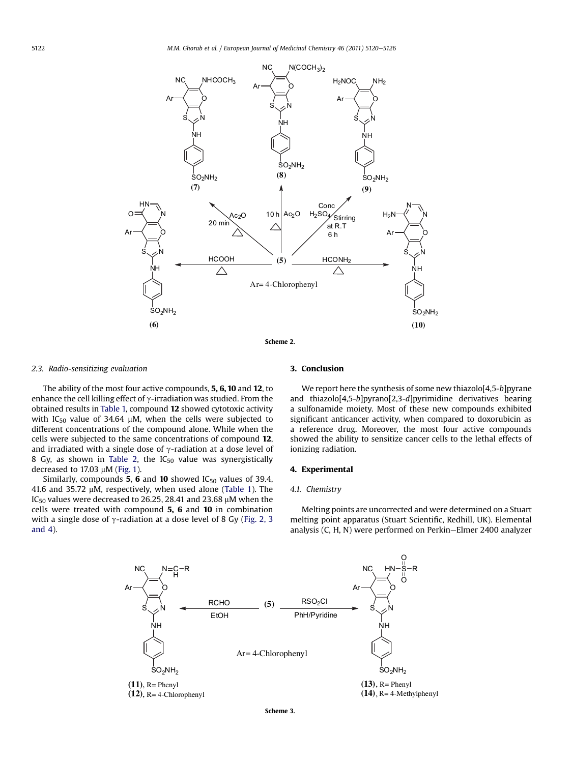<span id="page-2-0"></span>

#### 2.3. Radio-sensitizing evaluation

The ability of the most four active compounds, 5, 6, 10 and 12, to enhance the cell killing effect of  $\gamma$ -irradiation was studied. From the obtained results in [Table 1,](#page-3-0) compound 12 showed cytotoxic activity with IC<sub>50</sub> value of 34.64  $\mu$ M, when the cells were subjected to different concentrations of the compound alone. While when the cells were subjected to the same concentrations of compound 12, and irradiated with a single dose of  $\gamma$ -radiation at a dose level of 8 Gy, as shown in [Table 2,](#page-4-0) the  $IC_{50}$  value was synergistically decreased to 17.03  $\mu$ M ([Fig. 1](#page-4-0)).

Similarly, compounds 5, 6 and 10 showed  $IC_{50}$  values of 39.4, 41.6 and 35.72  $\mu$ M, respectively, when used alone ([Table 1\)](#page-3-0). The IC<sub>50</sub> values were decreased to 26.25, 28.41 and 23.68  $\mu$ M when the cells were treated with compound 5, 6 and 10 in combination with a single dose of  $\gamma$ -radiation at a dose level of 8 Gy ([Fig. 2, 3](#page-4-0) [and 4\)](#page-4-0).

# 3. Conclusion

We report here the synthesis of some new thiazolo[4,5-b]pyrane and thiazolo[4,5-b]pyrano[2,3-d]pyrimidine derivatives bearing a sulfonamide moiety. Most of these new compounds exhibited significant anticancer activity, when compared to doxorubicin as a reference drug. Moreover, the most four active compounds showed the ability to sensitize cancer cells to the lethal effects of ionizing radiation.

#### 4. Experimental

#### 4.1. Chemistry

Melting points are uncorrected and were determined on a Stuart melting point apparatus (Stuart Scientific, Redhill, UK). Elemental analysis (C, H, N) were performed on Perkin-Elmer 2400 analyzer

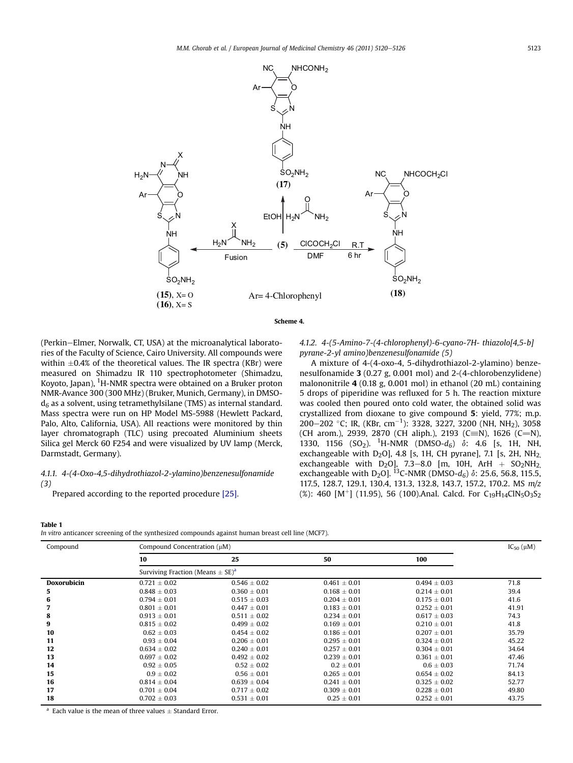<span id="page-3-0"></span>

Scheme 4.

(Perkin–Elmer, Norwalk, CT, USA) at the microanalytical laboratories of the Faculty of Science, Cairo University. All compounds were within  $\pm 0.4\%$  of the theoretical values. The IR spectra (KBr) were measured on Shimadzu IR 110 spectrophotometer (Shimadzu, Koyoto, Japan), <sup>1</sup>H-NMR spectra were obtained on a Bruker proton NMR-Avance 300 (300 MHz) (Bruker, Munich, Germany), in DMSO $d<sub>6</sub>$  as a solvent, using tetramethylsilane (TMS) as internal standard. Mass spectra were run on HP Model MS-5988 (Hewlett Packard, Palo, Alto, California, USA). All reactions were monitored by thin layer chromatograph (TLC) using precoated Aluminium sheets Silica gel Merck 60 F254 and were visualized by UV lamp (Merck, Darmstadt, Germany).

### 4.1.1. 4-(4-Oxo-4,5-dihydrothiazol-2-ylamino)benzenesulfonamide (3)

Prepared according to the reported procedure [\[25\]](#page-6-0).

4.1.2. 4-(5-Amino-7-(4-chlorophenyl)-6-cyano-7H- thiazolo[4,5-b] pyrane-2-yl amino)benzenesulfonamide (5)

A mixture of 4-(4-oxo-4, 5-dihydrothiazol-2-ylamino) benzenesulfonamide 3 (0.27 g, 0.001 mol) and 2-(4-chlorobenzylidene) malononitrile 4 (0.18 g, 0.001 mol) in ethanol (20 mL) containing 5 drops of piperidine was refluxed for 5 h. The reaction mixture was cooled then poured onto cold water, the obtained solid was crystallized from dioxane to give compound 5: yield, 77%; m.p. 200–202 °C; IR, (KBr, cm<sup>-1</sup>): 3328, 3227, 3200 (NH, NH<sub>2</sub>), 3058 (CH arom.), 2939, 2870 (CH aliph.), 2193 (C=N), 1626 (C=N), 1330, 1156  $(SO_2)$ . <sup>1</sup>H-NMR (DMSO-d<sub>6</sub>)  $\delta$ : 4.6 [s, 1H, NH, exchangeable with  $D_2O$ ], 4.8 [s, 1H, CH pyrane], 7.1 [s, 2H, NH<sub>2,</sub> exchangeable with D<sub>2</sub>O], 7.3–8.0 [m, 10H, ArH + SO<sub>2</sub>NH<sub>2</sub> exchangeable with D<sub>2</sub>O]. <sup>13</sup>C-NMR (DMSO- $d_6$ )  $\delta$ : 25.6, 56.8, 115.5, 117.5, 128.7, 129.1, 130.4, 131.3, 132.8, 143.7, 157.2, 170.2. MS m/z (%): 460  $[M^+]$  (11.95), 56 (100).Anal. Calcd. For C<sub>19</sub>H<sub>14</sub>ClN<sub>5</sub>O<sub>3</sub>S<sub>2</sub>

#### Table 1

| In vitro anticancer screening of the synthesized compounds against human breast cell line (MCF7). |  |
|---------------------------------------------------------------------------------------------------|--|
|---------------------------------------------------------------------------------------------------|--|

| Compound           |                                                  | Compound Concentration (µM) |                  |                  |       |  |
|--------------------|--------------------------------------------------|-----------------------------|------------------|------------------|-------|--|
|                    | 10                                               | 25                          | 50               | 100              |       |  |
|                    | Surviving Fraction (Means $\pm$ SE) <sup>a</sup> |                             |                  |                  |       |  |
| <b>Doxorubicin</b> | $0.721 \pm 0.02$                                 | $0.546 \pm 0.02$            | $0.461 \pm 0.01$ | $0.494 \pm 0.03$ | 71.8  |  |
| 5                  | $0.848 \pm 0.03$                                 | $0.360 \pm 0.01$            | $0.168 \pm 0.01$ | $0.214 \pm 0.01$ | 39.4  |  |
| 6                  | $0.794 \pm 0.01$                                 | $0.515 \pm 0.03$            | $0.204 \pm 0.01$ | $0.175 \pm 0.01$ | 41.6  |  |
|                    | $0.801 + 0.01$                                   | $0.447 \pm 0.01$            | $0.183 \pm 0.01$ | $0.252 \pm 0.01$ | 41.91 |  |
| 8                  | $0.913 \pm 0.01$                                 | $0.511 \pm 0.02$            | $0.234 \pm 0.01$ | $0.617 \pm 0.03$ | 74.3  |  |
| 9                  | $0.815 \pm 0.02$                                 | $0.499 \pm 0.02$            | $0.169 \pm 0.01$ | $0.210 + 0.01$   | 41.8  |  |
| 10                 | $0.62 \pm 0.03$                                  | $0.454 \pm 0.02$            | $0.186 \pm 0.01$ | $0.207 \pm 0.01$ | 35.79 |  |
| 11                 | $0.93 \pm 0.04$                                  | $0.206 \pm 0.01$            | $0.295 \pm 0.01$ | $0.324 \pm 0.01$ | 45.22 |  |
| 12                 | $0.634 + 0.02$                                   | $0.240 \pm 0.01$            | $0.257 + 0.01$   | $0.304 + 0.01$   | 34.64 |  |
| 13                 | $0.697 \pm 0.02$                                 | $0.492 \pm 0.02$            | $0.239 \pm 0.01$ | $0.361 \pm 0.01$ | 47.46 |  |
| 14                 | $0.92 \pm 0.05$                                  | $0.52 \pm 0.02$             | $0.2 \pm 0.01$   | $0.6 \pm 0.03$   | 71.74 |  |
| 15                 | $0.9 \pm 0.02$                                   | $0.56 \pm 0.01$             | $0.265 \pm 0.01$ | $0.654 \pm 0.02$ | 84.13 |  |
| 16                 | $0.814 + 0.04$                                   | $0.639 + 0.04$              | $0.241 + 0.01$   | $0.325 + 0.02$   | 52.77 |  |
| 17                 | $0.701 \pm 0.04$                                 | $0.717 \pm 0.02$            | $0.309 \pm 0.01$ | $0.228 \pm 0.01$ | 49.80 |  |
| 18                 | $0.702 \pm 0.03$                                 | $0.531 \pm 0.01$            | $0.25 \pm 0.01$  | $0.252 \pm 0.01$ | 43.75 |  |

Each value is the mean of three values  $\pm$  Standard Error.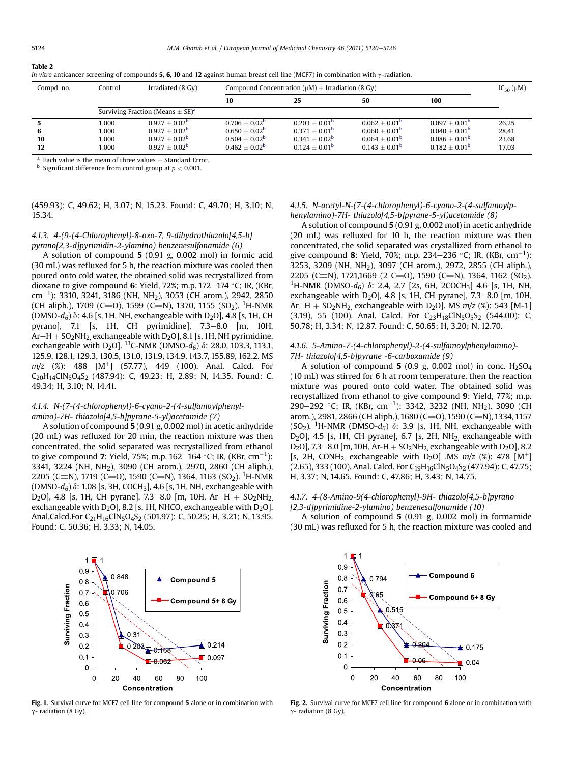| Compd. no. | Control                                          | Irradiated (8 Gy)      | Compound Concentration ( $\mu$ M) + Irradiation (8 Gy) |                  |                        |                        | $IC_{50}(\mu M)$ |
|------------|--------------------------------------------------|------------------------|--------------------------------------------------------|------------------|------------------------|------------------------|------------------|
|            |                                                  |                        | 10                                                     | 25               | 50                     | 100                    |                  |
|            | Surviving Fraction (Means $\pm$ SE) <sup>a</sup> |                        |                                                        |                  |                        |                        |                  |
|            | 1.000                                            | $0.927 + 0.02^b$       | $0.706 + 0.02^b$                                       | $0.203 + 0.01b$  | $0.062 + 0.01b$        | $0.097 + 0.01b$        | 26.25            |
| 6          | 1.000                                            | $0.927 + 0.02^b$       | $0.650 + 0.02^b$                                       | $0.371 + 0.01b$  | $0.060 + 0.01b$        | $0.040 + 0.01b$        | 28.41            |
| 10         | 1.000                                            | $0.927 + 0.02^b$       | $0.504 + 0.02^b$                                       | $0.341 + 0.02^b$ | $0.064 + 0.01^{\circ}$ | $0.086 + 0.01b$        | 23.68            |
| 12         | 1.000                                            | $0.927\pm0.02^{\rm b}$ | $0.462 \pm 0.02^{\rm b}$                               | $0.124 + 0.01^b$ | $0.143 + 0.01^b$       | $0.182 + 0.01^{\circ}$ | 17.03            |

<span id="page-4-0"></span>In vitro anticancer screening of compounds 5, 6, 10 and 12 against human breast cell line (MCF7) in combination with  $\gamma$ -radiation.

Each value is the mean of three values  $\pm$  Standard Error. Significant difference from control group at  $p < 0.001$ .

# (459.93): C, 49.62; H, 3.07; N, 15.23. Found: C, 49.70; H, 3.10; N, 15.34.

# 4.1.3. 4-(9-(4-Chlorophenyl)-8-oxo-7, 9-dihydrothiazolo[4,5-b] pyrano[2,3-d]pyrimidin-2-ylamino) benzenesulfonamide (6)

A solution of compound 5 (0.91 g, 0.002 mol) in formic acid (30 mL) was refluxed for 5 h, the reaction mixture was cooled then poured onto cold water, the obtained solid was recrystallized from dioxane to give compound 6: Yield, 72%; m.p.  $172-174$  °C; IR, (KBr, cm $^{-1}$ ): 3310, 3241, 3186 (NH, NH<sub>2</sub>), 3053 (CH arom.), 2942, 2850 (CH aliph.), 1709 (C=O), 1599 (C=N), 1370, 1155 (SO<sub>2</sub>). <sup>1</sup>H-NMR  $(DMSO-d<sub>6</sub>)$   $\delta$ : 4.6 [s, 1H, NH, exchangeable with D<sub>2</sub>O], 4.8 [s, 1H, CH pyrano], 7.1 [s, 1H, CH pyrimidine], 7.3-8.0 [m, 10H,  $Ar-H + SO<sub>2</sub>NH<sub>2</sub>$  exchangeable with D<sub>2</sub>O], 8.1 [s, 1H, NH pyrimidine, exchangeable with D<sub>2</sub>O]. <sup>13</sup>C-NMR (DMSO-d<sub>6</sub>)  $\delta$ : 28.0, 103.3, 113.1, 125.9, 128.1, 129.3, 130.5, 131.0, 131.9, 134.9, 143.7, 155.89, 162.2. MS  $m/z$  (%): 488 [M<sup>+</sup>] (57.77), 449 (100). Anal. Calcd. For C<sub>20</sub>H<sub>14</sub>ClN<sub>5</sub>O<sub>4</sub>S<sub>2</sub> (487,94): C, 49.23; H, 2.89; N, 14.35. Found: C, 49.34; H, 3.10; N, 14.41.

### 4.1.4. N-(7-(4-chlorophenyl)-6-cyano-2-(4-sulfamoylphenylamino)-7H- thiazolo[4,5-b]pyrane-5-yl)acetamide (7)

A solution of compound 5 (0.91 g, 0.002 mol) in acetic anhydride (20 mL) was refluxed for 20 min, the reaction mixture was then concentrated, the solid separated was recrystallized from ethanol to give compound **7**: Yield, 75%; m.p. 162–164 °C; IR, (KBr, cm $^{-1}$ ): 3341, 3224 (NH, NH2), 3090 (CH arom.), 2970, 2860 (CH aliph.), 2205 (C $\equiv$ N), 1719 (C $\equiv$ O), 1590 (C $\equiv$ N), 1364, 1163 (SO<sub>2</sub>). <sup>1</sup>H-NMR (DMSO- $d_6$ )  $\delta$ : 1.08 [s, 3H, COCH<sub>3</sub>], 4.6 [s, 1H, NH, exchangeable with D<sub>2</sub>O], 4.8 [s, 1H, CH pyrane], 7.3–8.0 [m, 10H, Ar-H + SO<sub>2</sub>NH<sub>2</sub> exchangeable with  $D_2O$ ], 8.2 [s, 1H, NHCO, exchangeable with  $D_2O$ ]. Anal.Calcd.For C<sub>21</sub>H<sub>16</sub>ClN<sub>5</sub>O<sub>4</sub>S<sub>2</sub> (501.97): C, 50.25; H, 3.21; N, 13.95. Found: C, 50.36; H, 3.33; N, 14.05.



Fig. 1. Survival curve for MCF7 cell line for compound 5 alone or in combination with  $\gamma$ - radiation (8 Gy).

### 4.1.5. N-acetyl-N-(7-(4-chlorophenyl)-6-cyano-2-(4-sulfamoylphenylamino)-7H- thiazolo[4,5-b]pyrane-5-yl)acetamide (8)

A solution of compound 5 (0.91 g, 0.002 mol) in acetic anhydride (20 mL) was refluxed for 10 h, the reaction mixture was then concentrated, the solid separated was crystallized from ethanol to give compound **8**: Yield, 70%; m.p. 234–236 °C; IR, (KBr, cm $^{-1}$ ): 3253, 3209 (NH, NH2), 3097 (CH arom.), 2972, 2855 (CH aliph.), 2205 (C=N), 1721,1669 (2 C=O), 1590 (C=N), 1364, 1162 (SO<sub>2</sub>). <sup>1</sup>H-NMR (DMSO- $d_6$ )  $\delta$ : 2.4, 2.7 [2s, 6H, 2COCH<sub>3</sub>] 4.6 [s, 1H, NH, exchangeable with  $D_2O$ ], 4.8 [s, 1H, CH pyrane], 7.3–8.0 [m, 10H,  $Ar-H + SO<sub>2</sub>NH<sub>2</sub>$  exchangeable with D<sub>2</sub>O]. MS  $m/z$  (%): 543 [M-1]  $(3.19)$ , 55 (100). Anal. Calcd. For  $C_{23}H_{18}CIN_5O_5S_2$  (544.00): C, 50.78; H, 3.34; N, 12.87. Found: C, 50.65; H, 3.20; N, 12.70.

# 4.1.6. 5-Amino-7-(4-chlorophenyl)-2-(4-sulfamoylphenylamino)- 7H- thiazolo[4,5-b]pyrane -6-carboxamide (9)

A solution of compound  $5(0.9 \text{ g}, 0.002 \text{ mol})$  in conc. H<sub>2</sub>SO<sub>4</sub> (10 mL) was stirred for 6 h at room temperature, then the reaction mixture was poured onto cold water. The obtained solid was recrystallized from ethanol to give compound 9: Yield, 77%; m.p. 290–292 °C; IR, (KBr, cm<sup>-1</sup>): 3342, 3232 (NH, NH<sub>2</sub>), 3090 (CH arom.), 2981, 2866 (CH aliph.), 1680 (C=O), 1590 (C=N), 1334, 1157 (SO<sub>2</sub>). <sup>1</sup>H-NMR (DMSO- $d_6$ )  $\delta$ : 3.9 [s, 1H, NH, exchangeable with  $D_2O$ ], 4.5 [s, 1H, CH pyrane], 6.7 [s, 2H, NH<sub>2</sub> exchangeable with D<sub>2</sub>O], 7.3-8.0 [m, 10H, Ar-H + SO<sub>2</sub>NH<sub>2,</sub> exchangeable with D<sub>2</sub>O], 8.2 [s, 2H, CONH<sub>2</sub> exchangeable with D<sub>2</sub>O] .MS  $m/z$  (%): 478 [M<sup>+</sup>]  $(2.65)$ , 333 (100). Anal. Calcd. For C<sub>19</sub>H<sub>16</sub>ClN<sub>5</sub>O<sub>4</sub>S<sub>2</sub> (477.94): C, 47.75; H, 3.37; N, 14.65. Found: C, 47.86; H, 3.43; N, 14.75.

# 4.1.7. 4-(8-Amino-9(4-chlorophenyl)-9H- thiazolo[4,5-b]pyrano [2,3-d]pyrimidine-2-ylamino) benzenesulfonamide (10)

A solution of compound 5 (0.91 g, 0.002 mol) in formamide (30 mL) was refluxed for 5 h, the reaction mixture was cooled and



Fig. 2. Survival curve for MCF7 cell line for compound 6 alone or in combination with  $\gamma$ - radiation (8 Gy).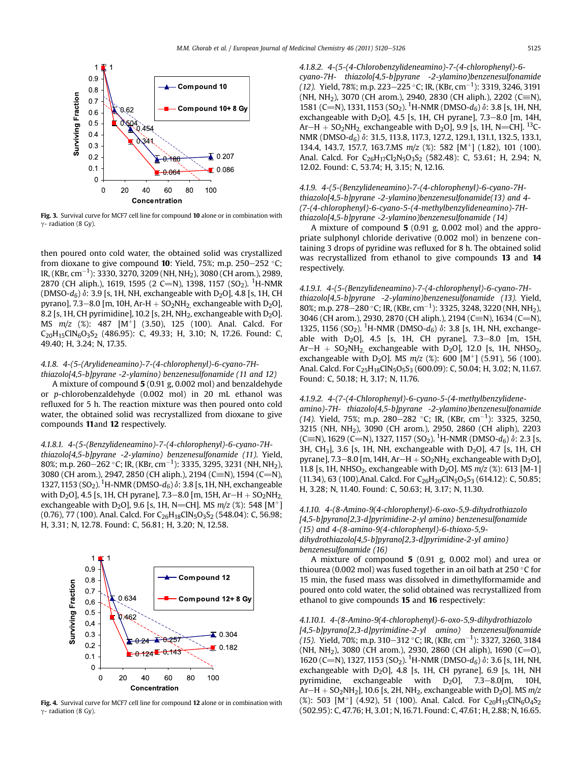

Fig. 3. Survival curve for MCF7 cell line for compound 10 alone or in combination with  $\gamma$ - radiation (8 Gy).

then poured onto cold water, the obtained solid was crystallized from dioxane to give compound **10**: Yield, 75%; m.p. 250–252 °C; IR, (KBr, cm $^{-1}$ ): 3330, 3270, 3209 (NH, NH $_2$ ), 3080 (CH arom.), 2989, 2870 (CH aliph.), 1619, 1595 (2 C=N), 1398, 1157 (SO<sub>2</sub>). <sup>1</sup>H-NMR (DMSO- $d_6$ )  $\delta$ : 3.9 [s, 1H, NH, exchangeable with D<sub>2</sub>O], 4.8 [s, 1H, CH pyrano], 7.3-8.0 [m, 10H, Ar-H +  $SO<sub>2</sub>NH<sub>2</sub>$  exchangeable with D<sub>2</sub>O], 8.2 [s, 1H, CH pyrimidine], 10.2 [s, 2H, NH<sub>2</sub>, exchangeable with  $D_2O$ ]. MS  $m/z$  (%): 487 [M<sup>+</sup>] (3.50), 125 (100). Anal. Calcd. For  $C_{20}H_{15}CN_6O_3S_2$  (486.95): C, 49.33; H, 3.10; N, 17.26. Found: C, 49.40; H, 3.24; N, 17.35.

# 4.1.8. 4-(5-(Arylideneamino)-7-(4-chlorophenyl)-6-cyano-7H-

thiazolo[4,5-b]pyrane -2-ylamino) benzenesulfonamide (11 and 12) A mixture of compound 5 (0.91 g, 0.002 mol) and benzaldehyde or p-chlorobenzaldehyde (0.002 mol) in 20 mL ethanol was refluxed for 5 h. The reaction mixture was then poured onto cold water, the obtained solid was recrystallized from dioxane to give compounds 11and 12 respectively.

# 4.1.8.1. 4-(5-(Benzylideneamino)-7-(4-chlorophenyl)-6-cyano-7H-

thiazolo[4,5-b]pyrane -2-ylamino) benzenesulfonamide (11). Yield, 80%; m.p. 260–262 °C; IR, (KBr, cm $^{-1}$ ): 3335, 3295, 3231 (NH, NH<sub>2</sub>), 3080 (CH arom.), 2947, 2850 (CH aliph.), 2194 (C=N), 1594 (C=N), 1327, 1153 (SO<sub>2</sub>). <sup>1</sup>H-NMR (DMSO- $d_6$ )  $\delta$ : 3.8 [s, 1H, NH, exchangeable with D<sub>2</sub>O], 4.5 [s, 1H, CH pyrane], 7.3–8.0 [m, 15H, Ar–H + SO<sub>2</sub>NH<sub>2</sub> exchangeable with D<sub>2</sub>O], 9.6 [s, 1H, N=CH]. MS  $m/z$  (%): 548 [M<sup>+</sup>] (0.76), 77 (100). Anal. Calcd. For C<sub>26</sub>H<sub>18</sub>ClN<sub>5</sub>O<sub>3</sub>S<sub>2</sub> (548.04): C, 56.98; H, 3.31; N, 12.78. Found: C, 56.81; H, 3.20; N, 12.58.



Fig. 4. Survival curve for MCF7 cell line for compound 12 alone or in combination with  $\gamma$ - radiation (8 Gy).

4.1.8.2. 4-(5-(4-Chlorobenzylideneamino)-7-(4-chlorophenyl)-6 cyano-7H- thiazolo[4,5-b]pyrane -2-ylamino)benzenesulfonamide (12). Yield, 78%; m.p. 223–225 °C; IR, (KBr, cm $^{-1}$ ): 3319, 3246, 3191 (NH, NH<sub>2</sub>), 3070 (CH arom.), 2940, 2830 (CH aliph.), 2202 (C=N), 1581 (C=N), 1331, 1153 (SO<sub>2</sub>). <sup>1</sup>H-NMR (DMSO-d<sub>6</sub>)  $\delta$ : 3.8 [s, 1H, NH<sub>1</sub> exchangeable with  $D_2O$ ], 4.5 [s, 1H, CH pyrane], 7.3–8.0 [m, 14H,  $Ar-H + SO<sub>2</sub>NH<sub>2</sub>$  exchangeable with D<sub>2</sub>O], 9.9 [s, 1H, N=CH]. <sup>13</sup>C-NMR (DMSO- $d_6$ )  $\delta$ : 31.5, 113.8, 117.3, 127.2, 129.1, 131.1, 132.5, 133.1, 134.4, 143.7, 157.7, 163.7.MS  $m/z$  (%): 582 [M<sup>+</sup>] (1.82), 101 (100). Anal. Calcd. For C<sub>26</sub>H<sub>17</sub>Cl<sub>2</sub>N<sub>5</sub>O<sub>3</sub>S<sub>2</sub> (582.48): C, 53.61; H, 2.94; N, 12.02. Found: C, 53.74; H, 3.15; N, 12.16.

4.1.9. 4-(5-(Benzylideneamino)-7-(4-chlorophenyl)-6-cyano-7Hthiazolo[4,5-b]pyrane -2-ylamino)benzenesulfonamide(13) and 4- (7-(4-chlorophenyl)-6-cyano-5-(4-methylbenzylideneamino)-7Hthiazolo[4,5-b]pyrane -2-ylamino)benzenesulfonamide (14)

A mixture of compound 5 (0.91 g, 0.002 mol) and the appropriate sulphonyl chloride derivative (0.002 mol) in benzene containing 3 drops of pyridine was refluxed for 8 h. The obtained solid was recrystallized from ethanol to give compounds 13 and 14 respectively.

4.1.9.1. 4-(5-(Benzylideneamino)-7-(4-chlorophenyl)-6-cyano-7Hthiazolo[4,5-b]pyrane -2-ylamino)benzenesulfonamide (13). Yield, 80%; m.p. 278–280 °C; IR, (KBr, cm<sup>-1</sup>): 3325, 3248, 3220 (NH, NH<sub>2</sub>), 3046 (CH arom.), 2930, 2870 (CH aliph.), 2194 (C=N), 1634 (C=N), 1325, 1156 (SO<sub>2</sub>). <sup>1</sup>H-NMR (DMSO- $d_6$ )  $\delta$ : 3.8 [s, 1H, NH, exchangeable with  $D_2O$ ], 4.5 [s, 1H, CH pyrane], 7.3-8.0 [m, 15H,  $Ar-H + SO<sub>2</sub>NH<sub>2</sub>$  exchangeable with D<sub>2</sub>O], 12.0 [s, 1H, NHSO<sub>2</sub>, exchangeable with D<sub>2</sub>O]. MS  $m/z$  (%): 600 [M<sup>+</sup>] (5.91), 56 (100). Anal. Calcd. For C<sub>25</sub>H<sub>18</sub>ClN<sub>5</sub>O<sub>5</sub>S<sub>3</sub> (600.09): C, 50.04; H, 3.02; N, 11.67. Found: C, 50.18; H, 3.17; N, 11.76.

#### 4.1.9.2. 4-(7-(4-Chlorophenyl)-6-cyano-5-(4-methylbenzylidene-

amino)-7H- thiazolo[4,5-b]pyrane -2-ylamino)benzenesulfonamide (14). Yield, 75%; m.p. 280–282 °C; IR, (KBr, cm $^{-1}$ ): 3325, 3250, 3215 (NH, NH<sub>2</sub>), 3090 (CH arom.), 2950, 2860 (CH aliph), 2203 (C=N), 1629 (C=N), 1327, 1157 (SO<sub>2</sub>). <sup>1</sup>H-NMR (DMSO-d<sub>6</sub>)  $\delta$ : 2.3 [s, 3H, CH<sub>3</sub>], 3.6 [s, 1H, NH, exchangeable with D<sub>2</sub>O], 4.7 [s, 1H, CH pyrane], 7.3–8.0 [m, 14H, Ar–H +  $SO<sub>2</sub>NH<sub>2</sub>$  exchangeable with D<sub>2</sub>O], 11.8 [s, 1H, NHSO<sub>2</sub>, exchangeable with D<sub>2</sub>O]. MS  $m/z$  (%): 613 [M-1] (11.34), 63 (100).Anal. Calcd. For C<sub>26</sub>H<sub>20</sub>ClN<sub>5</sub>O<sub>5</sub>S<sub>3</sub> (614.12): C, 50.85; H, 3.28; N, 11.40. Found: C, 50.63; H, 3.17; N, 11.30.

4.1.10. 4-(8-Amino-9(4-chlorophenyl)-6-oxo-5,9-dihydrothiazolo [4,5-b]pyrano[2,3-d]pyrimidine-2-yl amino) benzenesulfonamide (15) and 4-(8-amino-9(4-chlorophenyl)-6-thioxo-5,9 dihydrothiazolo[4,5-b]pyrano[2,3-d]pyrimidine-2-yl amino) benzenesulfonamide (16)

A mixture of compound 5 (0.91 g, 0.002 mol) and urea or thiourea (0.002 mol) was fused together in an oil bath at 250  $\degree$ C for 15 min, the fused mass was dissolved in dimethylformamide and poured onto cold water, the solid obtained was recrystallized from ethanol to give compounds 15 and 16 respectively:

4.1.10.1. 4-(8-Amino-9(4-chlorophenyl)-6-oxo-5,9-dihydrothiazolo [4,5-b]pyrano[2,3-d]pyrimidine-2-yl amino) benzenesulfonamide (15). Yield, 70%; m.p. 310–312 °C; IR, (KBr, cm $^{-1}$ ): 3327, 3260, 3184 (NH, NH<sub>2</sub>), 3080 (CH arom.), 2930, 2860 (CH aliph), 1690 (C=O), 1620 (C=N), 1327, 1153 (SO<sub>2</sub>). <sup>1</sup>H-NMR (DMSO-d<sub>6</sub>)  $\delta$ : 3.6 [s, 1H, NH<sub>1</sub> exchangeable with  $D_2O$ ], 4.8 [s, 1H, CH pyrane], 6.9 [s, 1H, NH pyrimidine, exchangeable with  $D_2O$ ],  $7.3-8.0$ [m, 10H,  $Ar-H + SO<sub>2</sub>NH<sub>2</sub>$ ], 10.6 [s, 2H, NH<sub>2</sub>, exchangeable with D<sub>2</sub>O]. MS  $m/z$ (%): 503 [M<sup>+</sup>] (4.92), 51 (100). Anal. Calcd. For C<sub>20</sub>H<sub>15</sub>ClN<sub>6</sub>O<sub>4</sub>S<sub>2</sub> (502.95): C, 47.76; H, 3.01; N,16.71. Found: C, 47.61; H, 2.88; N, 16.65.